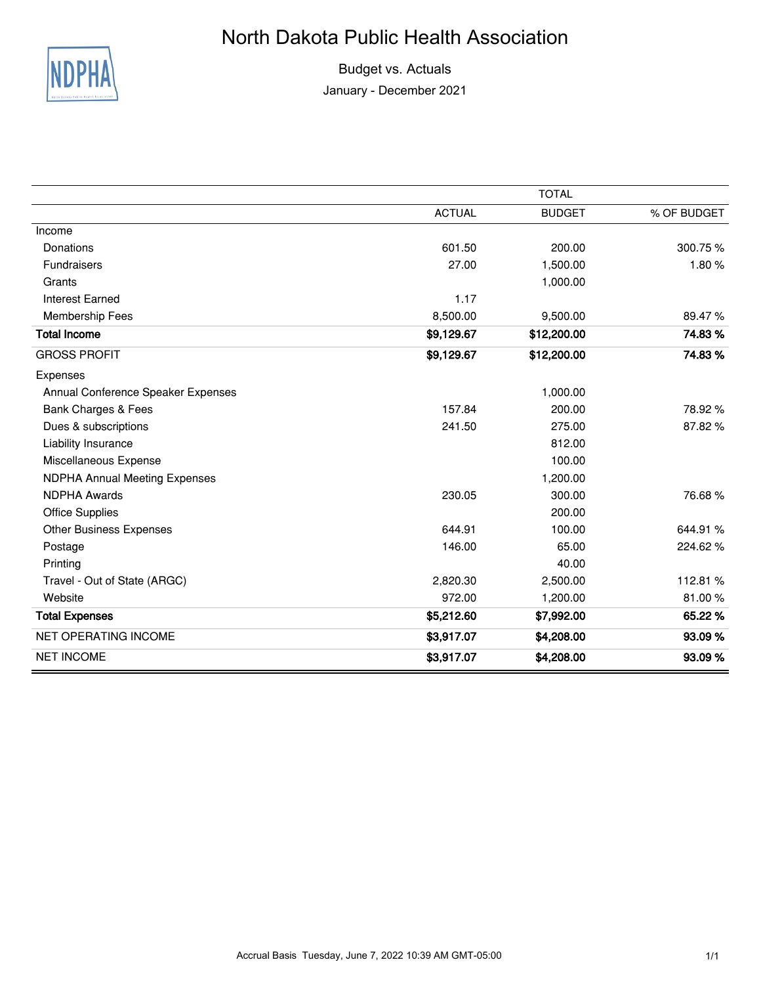## North Dakota Public Health Association



Budget vs. Actuals January - December 2021

|                                      | <b>TOTAL</b>  |               |             |  |  |  |  |
|--------------------------------------|---------------|---------------|-------------|--|--|--|--|
|                                      | <b>ACTUAL</b> | <b>BUDGET</b> | % OF BUDGET |  |  |  |  |
| Income                               |               |               |             |  |  |  |  |
| Donations                            | 601.50        | 200.00        | 300.75%     |  |  |  |  |
| <b>Fundraisers</b>                   | 27.00         | 1,500.00      | 1.80%       |  |  |  |  |
| Grants                               |               | 1,000.00      |             |  |  |  |  |
| <b>Interest Earned</b>               | 1.17          |               |             |  |  |  |  |
| Membership Fees                      | 8,500.00      | 9,500.00      | 89.47%      |  |  |  |  |
| <b>Total Income</b>                  | \$9,129.67    | \$12,200.00   | 74.83%      |  |  |  |  |
| <b>GROSS PROFIT</b>                  | \$9,129.67    | \$12,200.00   | 74.83%      |  |  |  |  |
| Expenses                             |               |               |             |  |  |  |  |
| Annual Conference Speaker Expenses   |               | 1,000.00      |             |  |  |  |  |
| Bank Charges & Fees                  | 157.84        | 200.00        | 78.92 %     |  |  |  |  |
| Dues & subscriptions                 | 241.50        | 275.00        | 87.82%      |  |  |  |  |
| Liability Insurance                  |               | 812.00        |             |  |  |  |  |
| Miscellaneous Expense                |               | 100.00        |             |  |  |  |  |
| <b>NDPHA Annual Meeting Expenses</b> |               | 1,200.00      |             |  |  |  |  |
| <b>NDPHA Awards</b>                  | 230.05        | 300.00        | 76.68%      |  |  |  |  |
| <b>Office Supplies</b>               |               | 200.00        |             |  |  |  |  |
| <b>Other Business Expenses</b>       | 644.91        | 100.00        | 644.91%     |  |  |  |  |
| Postage                              | 146.00        | 65.00         | 224.62%     |  |  |  |  |
| Printing                             |               | 40.00         |             |  |  |  |  |
| Travel - Out of State (ARGC)         | 2,820.30      | 2,500.00      | 112.81%     |  |  |  |  |
| Website                              | 972.00        | 1,200.00      | 81.00%      |  |  |  |  |
| <b>Total Expenses</b>                | \$5,212.60    | \$7,992.00    | 65.22 %     |  |  |  |  |
| <b>NET OPERATING INCOME</b>          | \$3,917.07    | \$4,208.00    | 93.09%      |  |  |  |  |
| <b>NET INCOME</b>                    | \$3,917.07    | \$4,208.00    | 93.09%      |  |  |  |  |